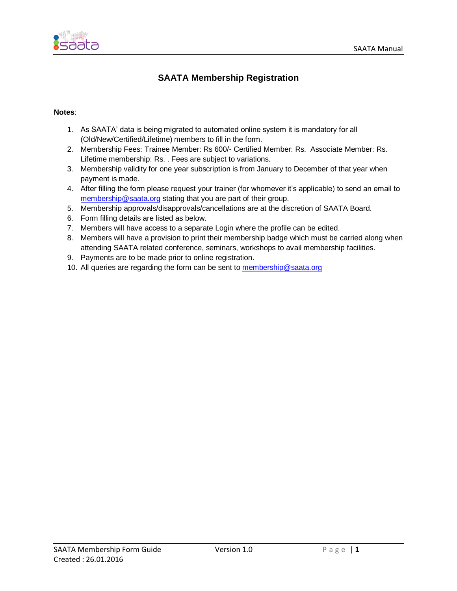

## **SAATA Membership Registration**

#### **Notes**:

- 1. As SAATA' data is being migrated to automated online system it is mandatory for all (Old/New/Certified/Lifetime) members to fill in the form.
- 2. Membership Fees: Trainee Member: Rs 600/- Certified Member: Rs. Associate Member: Rs. Lifetime membership: Rs. . Fees are subject to variations.
- 3. Membership validity for one year subscription is from January to December of that year when payment is made.
- 4. After filling the form please request your trainer (for whomever it's applicable) to send an email to [membership@saata.org](mailto:membership@saata.org) stating that you are part of their group.
- 5. Membership approvals/disapprovals/cancellations are at the discretion of SAATA Board.
- 6. Form filling details are listed as below.
- 7. Members will have access to a separate Login where the profile can be edited.
- 8. Members will have a provision to print their membership badge which must be carried along when attending SAATA related conference, seminars, workshops to avail membership facilities.
- 9. Payments are to be made prior to online registration.
- 10. All queries are regarding the form can be sent to [membership@saata.org](mailto:membership@saata.org)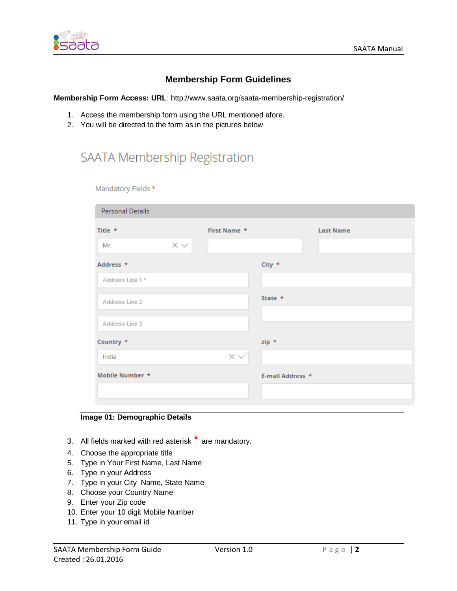

### **Membership Form Guidelines**

**Membership Form Access: URL**: http://www.saata.org/saata-membership-registration/

- 1. Access the membership form using the URL mentioned afore.
- 2. You will be directed to the form as in the pictures below

# SAATA Membership Registration

Mandatory Fields \*

| Personal Details |                   |                           |                  |                  |
|------------------|-------------------|---------------------------|------------------|------------------|
| Title *          |                   | First Name *              |                  | <b>Last Name</b> |
| Mr               | $\times$ $\times$ |                           |                  |                  |
| Address *        |                   |                           | $City *$         |                  |
| Address Line 1*  |                   |                           |                  |                  |
| Address Line 2   |                   |                           | State $*$        |                  |
| Address Line 3   |                   |                           |                  |                  |
|                  |                   |                           |                  |                  |
| Country *        |                   |                           | zip *            |                  |
| India            |                   | $\times$ $\smallsetminus$ |                  |                  |
| Mobile Number *  |                   |                           | E-mail Address * |                  |
|                  |                   |                           |                  |                  |
|                  |                   |                           |                  |                  |

#### **Image 01: Demographic Details**

- 3. All fields marked with red asterisk  $*$  are mandatory.
- 4. Choose the appropriate title
- 5. Type in Your First Name, Last Name
- 6. Type in your Address
- 7. Type in your City Name, State Name
- 8. Choose your Country Name
- 9. Enter your Zip code
- 10. Enter your 10 digit Mobile Number
- 11. Type in your email id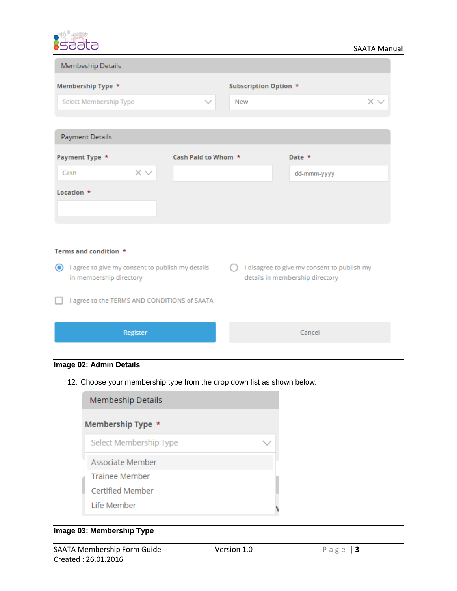

| Membeship Details                                                          |                     |                       |                                                                                |
|----------------------------------------------------------------------------|---------------------|-----------------------|--------------------------------------------------------------------------------|
| Membership Type *                                                          |                     | Subscription Option * |                                                                                |
| Select Membership Type                                                     | $\checkmark$        | <b>New</b>            | $\times$ $\times$                                                              |
|                                                                            |                     |                       |                                                                                |
| Payment Details                                                            |                     |                       |                                                                                |
| Payment Type *                                                             | Cash Paid to Whom * |                       | Date $*$                                                                       |
| $\times$ $\times$<br>Cash                                                  |                     |                       | dd-mmm-yyyy                                                                    |
| Location *                                                                 |                     |                       |                                                                                |
| Terms and condition *                                                      |                     |                       |                                                                                |
| lagree to give my consent to publish my details<br>in membership directory |                     |                       | I disagree to give my consent to publish my<br>details in membership directory |
| I agree to the TERMS AND CONDITIONS of SAATA                               |                     |                       |                                                                                |

### **Image 02: Admin Details**

Register

12. Choose your membership type from the drop down list as shown below.

| Membeship Details      |  |
|------------------------|--|
| Membership Type *      |  |
| Select Membership Type |  |
| Associate Member       |  |
| <b>Trainee Member</b>  |  |
| Certified Member       |  |
| Life Member            |  |

## **Image 03: Membership Type**

Cancel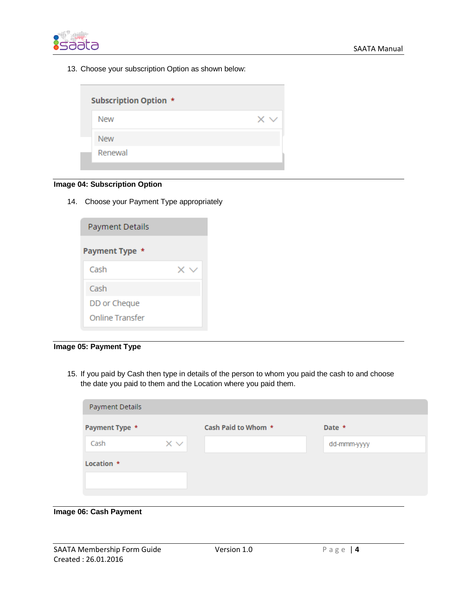

13. Choose your subscription Option as shown below:

| <b>Subscription Option *</b> |          |
|------------------------------|----------|
| <b>New</b>                   | $\times$ |
| <b>New</b>                   |          |
| Renewal                      |          |
|                              |          |

#### **Image 04: Subscription Option**

14. Choose your Payment Type appropriately

| <b>Payment Details</b> |  |
|------------------------|--|
| Payment Type *         |  |
| Cash                   |  |
| Cash                   |  |
| DD or Cheque           |  |
| <b>Online Transfer</b> |  |

**Image 05: Payment Type**

15. If you paid by Cash then type in details of the person to whom you paid the cash to and choose the date you paid to them and the Location where you paid them.

| Payment Details |                   |                     |             |
|-----------------|-------------------|---------------------|-------------|
| Payment Type *  |                   | Cash Paid to Whom * | Date *      |
| Cash            | $\times$ $\times$ |                     | dd-mmm-yyyy |
| Location *      |                   |                     |             |
|                 |                   |                     |             |
|                 |                   |                     |             |

#### **Image 06: Cash Payment**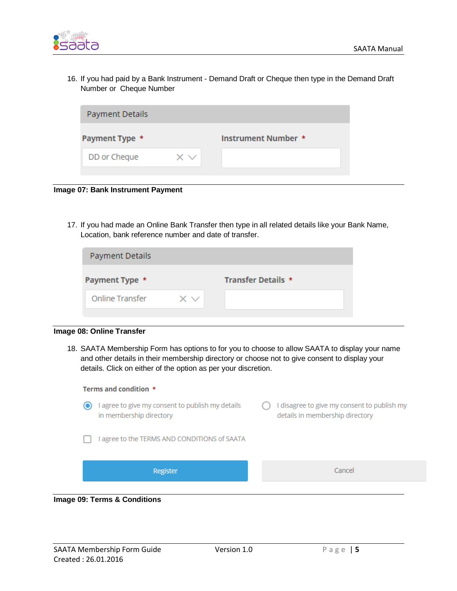

16. If you had paid by a Bank Instrument - Demand Draft or Cheque then type in the Demand Draft Number or Cheque Number

| <b>Payment Details</b> |                   |                     |
|------------------------|-------------------|---------------------|
| Payment Type *         |                   | Instrument Number * |
| DD or Cheque           | $\times$ $\times$ |                     |
|                        |                   |                     |

**Image 07: Bank Instrument Payment** 

17. If you had made an Online Bank Transfer then type in all related details like your Bank Name, Location, bank reference number and date of transfer.

| Payment Details        |    |                    |
|------------------------|----|--------------------|
| Payment Type *         |    | Transfer Details * |
| <b>Online Transfer</b> | хv |                    |
|                        |    |                    |

#### **Image 08: Online Transfer**

18. SAATA Membership Form has options to for you to choose to allow SAATA to display your name and other details in their membership directory or choose not to give consent to display your details. Click on either of the option as per your discretion.



#### **Image 09: Terms & Conditions**